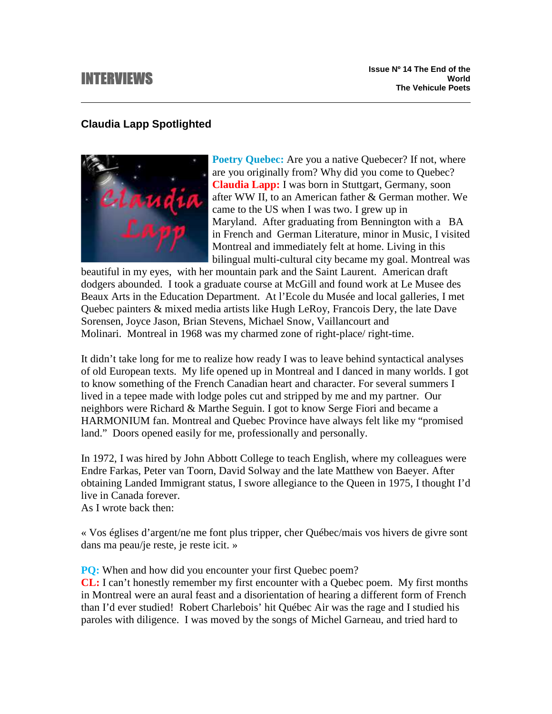# INTERVIEWS

# **Claudia Lapp Spotlighted**



**Poetry Quebec:** Are you a native Quebecer? If not, where are you originally from? Why did you come to Quebec? **Claudia Lapp:** I was born in Stuttgart, Germany, soon after WW II, to an American father & German mother. We came to the US when I was two. I grew up in Maryland. After graduating from Bennington with a BA in French and German Literature, minor in Music, I visited Montreal and immediately felt at home. Living in this bilingual multi-cultural city became my goal. Montreal was

beautiful in my eyes, with her mountain park and the Saint Laurent. American draft dodgers abounded. I took a graduate course at McGill and found work at Le Musee des Beaux Arts in the Education Department. At l'Ecole du Musée and local galleries, I met Quebec painters & mixed media artists like Hugh LeRoy, Francois Dery, the late Dave Sorensen, Joyce Jason, Brian Stevens, Michael Snow, Vaillancourt and Molinari. Montreal in 1968 was my charmed zone of right-place/ right-time.

It didn't take long for me to realize how ready I was to leave behind syntactical analyses of old European texts. My life opened up in Montreal and I danced in many worlds. I got to know something of the French Canadian heart and character. For several summers I lived in a tepee made with lodge poles cut and stripped by me and my partner. Our neighbors were Richard & Marthe Seguin. I got to know Serge Fiori and became a HARMONIUM fan. Montreal and Quebec Province have always felt like my "promised land." Doors opened easily for me, professionally and personally.

In 1972, I was hired by John Abbott College to teach English, where my colleagues were Endre Farkas, Peter van Toorn, David Solway and the late Matthew von Baeyer. After obtaining Landed Immigrant status, I swore allegiance to the Queen in 1975, I thought I'd live in Canada forever.

As I wrote back then:

« Vos églises d'argent/ne me font plus tripper, cher Québec/mais vos hivers de givre sont dans ma peau/je reste, je reste icit. »

**PQ:** When and how did you encounter your first Quebec poem?

**CL:** I can't honestly remember my first encounter with a Quebec poem. My first months in Montreal were an aural feast and a disorientation of hearing a different form of French than I'd ever studied! Robert Charlebois' hit Québec Air was the rage and I studied his paroles with diligence. I was moved by the songs of Michel Garneau, and tried hard to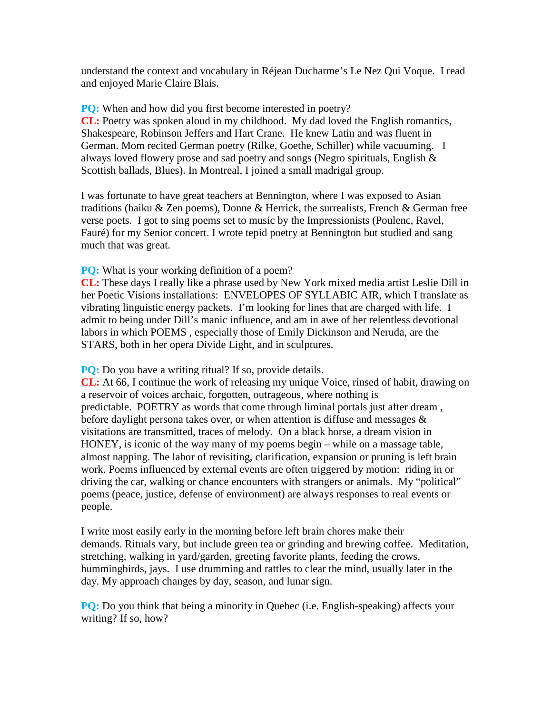understand the context and vocabulary in Réjean Ducharme's Le Nez Qui Voque. I read and enjoyed Marie Claire Blais.

**PQ:** When and how did you first become interested in poetry? **CL:** Poetry was spoken aloud in my childhood. My dad loved the English romantics, Shakespeare, Robinson Jeffers and Hart Crane. He knew Latin and was fluent in German. Mom recited German poetry (Rilke, Goethe, Schiller) while vacuuming. I always loved flowery prose and sad poetry and songs (Negro spirituals, English & Scottish ballads, Blues). In Montreal, I joined a small madrigal group.

I was fortunate to have great teachers at Bennington, where I was exposed to Asian traditions (haiku & Zen poems), Donne & Herrick, the surrealists, French & German free verse poets. I got to sing poems set to music by the Impressionists (Poulenc, Ravel, Fauré) for my Senior concert. I wrote tepid poetry at Bennington but studied and sang much that was great.

**PQ:** What is your working definition of a poem?

**CL:** These days I really like a phrase used by New York mixed media artist Leslie Dill in her Poetic Visions installations: ENVELOPES OF SYLLABIC AIR, which I translate as vibrating linguistic energy packets. I'm looking for lines that are charged with life. I admit to being under Dill's manic influence, and am in awe of her relentless devotional labors in which POEMS , especially those of Emily Dickinson and Neruda, are the STARS, both in her opera Divide Light, and in sculptures.

**PQ:** Do you have a writing ritual? If so, provide details.

**CL:** At 66, I continue the work of releasing my unique Voice, rinsed of habit, drawing on a reservoir of voices archaic, forgotten, outrageous, where nothing is predictable. POETRY as words that come through liminal portals just after dream , before daylight persona takes over, or when attention is diffuse and messages & visitations are transmitted, traces of melody. On a black horse, a dream vision in HONEY, is iconic of the way many of my poems begin – while on a massage table, almost napping. The labor of revisiting, clarification, expansion or pruning is left brain work. Poems influenced by external events are often triggered by motion: riding in or driving the car, walking or chance encounters with strangers or animals. My "political" poems (peace, justice, defense of environment) are always responses to real events or people.

I write most easily early in the morning before left brain chores make their demands. Rituals vary, but include green tea or grinding and brewing coffee. Meditation, stretching, walking in yard/garden, greeting favorite plants, feeding the crows, hummingbirds, jays. I use drumming and rattles to clear the mind, usually later in the day. My approach changes by day, season, and lunar sign.

**PQ:** Do you think that being a minority in Quebec (i.e. English-speaking) affects your writing? If so, how?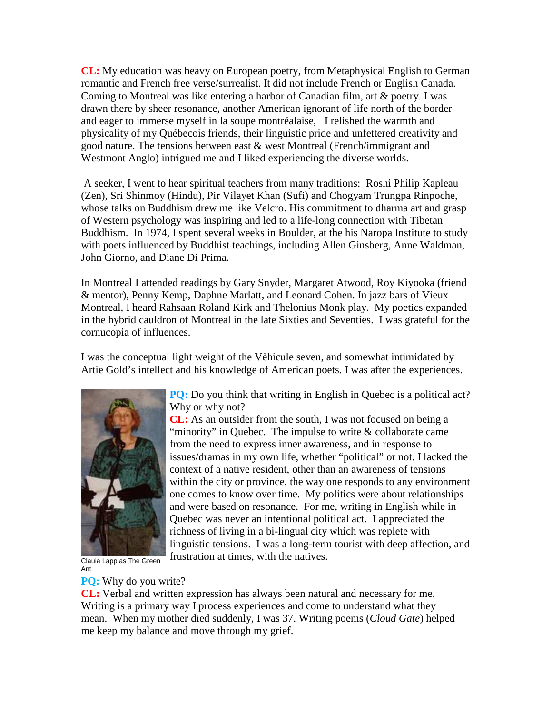**CL:** My education was heavy on European poetry, from Metaphysical English to German romantic and French free verse/surrealist. It did not include French or English Canada. Coming to Montreal was like entering a harbor of Canadian film, art & poetry. I was drawn there by sheer resonance, another American ignorant of life north of the border and eager to immerse myself in la soupe montréalaise, I relished the warmth and physicality of my Québecois friends, their linguistic pride and unfettered creativity and good nature. The tensions between east & west Montreal (French/immigrant and Westmont Anglo) intrigued me and I liked experiencing the diverse worlds.

 A seeker, I went to hear spiritual teachers from many traditions: Roshi Philip Kapleau (Zen), Sri Shinmoy (Hindu), Pir Vilayet Khan (Sufi) and Chogyam Trungpa Rinpoche, whose talks on Buddhism drew me like Velcro. His commitment to dharma art and grasp of Western psychology was inspiring and led to a life-long connection with Tibetan Buddhism. In 1974, I spent several weeks in Boulder, at the his Naropa Institute to study with poets influenced by Buddhist teachings, including Allen Ginsberg, Anne Waldman, John Giorno, and Diane Di Prima.

In Montreal I attended readings by Gary Snyder, Margaret Atwood, Roy Kiyooka (friend & mentor), Penny Kemp, Daphne Marlatt, and Leonard Cohen. In jazz bars of Vieux Montreal, I heard Rahsaan Roland Kirk and Thelonius Monk play. My poetics expanded in the hybrid cauldron of Montreal in the late Sixties and Seventies. I was grateful for the cornucopia of influences.

I was the conceptual light weight of the Vèhicule seven, and somewhat intimidated by Artie Gold's intellect and his knowledge of American poets. I was after the experiences.



Why or why not? **CL:** As an outsider from the south, I was not focused on being a

**PQ:** Do you think that writing in English in Quebec is a political act?

"minority" in Quebec. The impulse to write & collaborate came from the need to express inner awareness, and in response to issues/dramas in my own life, whether "political" or not. I lacked the context of a native resident, other than an awareness of tensions within the city or province, the way one responds to any environment one comes to know over time. My politics were about relationships and were based on resonance. For me, writing in English while in Quebec was never an intentional political act. I appreciated the richness of living in a bi-lingual city which was replete with linguistic tensions. I was a long-term tourist with deep affection, and frustration at times, with the natives.

Clauia Lapp as The Green Ant

## **PQ:** Why do you write?

**CL:** Verbal and written expression has always been natural and necessary for me. Writing is a primary way I process experiences and come to understand what they mean. When my mother died suddenly, I was 37. Writing poems (*Cloud Gate*) helped me keep my balance and move through my grief.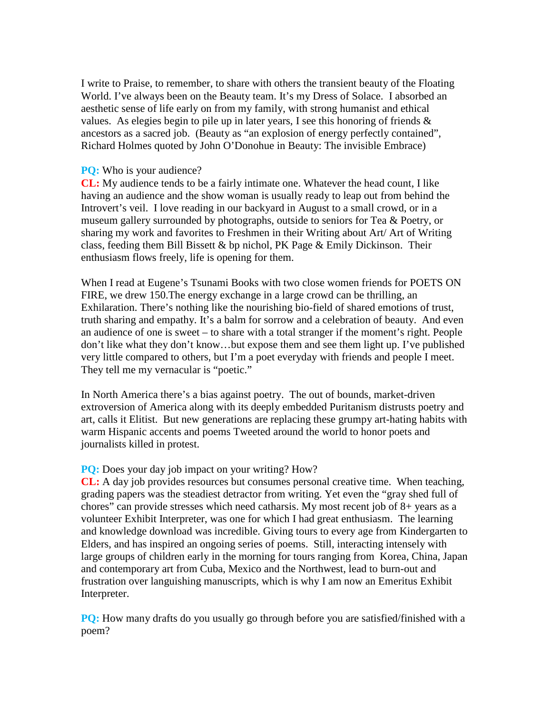I write to Praise, to remember, to share with others the transient beauty of the Floating World. I've always been on the Beauty team. It's my Dress of Solace. I absorbed an aesthetic sense of life early on from my family, with strong humanist and ethical values. As elegies begin to pile up in later years, I see this honoring of friends  $\&$ ancestors as a sacred job. (Beauty as "an explosion of energy perfectly contained", Richard Holmes quoted by John O'Donohue in Beauty: The invisible Embrace)

#### **PQ:** Who is your audience?

**CL:** My audience tends to be a fairly intimate one. Whatever the head count, I like having an audience and the show woman is usually ready to leap out from behind the Introvert's veil. I love reading in our backyard in August to a small crowd, or in a museum gallery surrounded by photographs, outside to seniors for Tea & Poetry, or sharing my work and favorites to Freshmen in their Writing about Art/ Art of Writing class, feeding them Bill Bissett & bp nichol, PK Page & Emily Dickinson. Their enthusiasm flows freely, life is opening for them.

When I read at Eugene's Tsunami Books with two close women friends for POETS ON FIRE, we drew 150.The energy exchange in a large crowd can be thrilling, an Exhilaration. There's nothing like the nourishing bio-field of shared emotions of trust, truth sharing and empathy. It's a balm for sorrow and a celebration of beauty. And even an audience of one is sweet – to share with a total stranger if the moment's right. People don't like what they don't know…but expose them and see them light up. I've published very little compared to others, but I'm a poet everyday with friends and people I meet. They tell me my vernacular is "poetic."

In North America there's a bias against poetry. The out of bounds, market-driven extroversion of America along with its deeply embedded Puritanism distrusts poetry and art, calls it Elitist. But new generations are replacing these grumpy art-hating habits with warm Hispanic accents and poems Tweeted around the world to honor poets and journalists killed in protest.

### **PQ:** Does your day job impact on your writing? How?

**CL:** A day job provides resources but consumes personal creative time. When teaching, grading papers was the steadiest detractor from writing. Yet even the "gray shed full of chores" can provide stresses which need catharsis. My most recent job of 8+ years as a volunteer Exhibit Interpreter, was one for which I had great enthusiasm. The learning and knowledge download was incredible. Giving tours to every age from Kindergarten to Elders, and has inspired an ongoing series of poems. Still, interacting intensely with large groups of children early in the morning for tours ranging from Korea, China, Japan and contemporary art from Cuba, Mexico and the Northwest, lead to burn-out and frustration over languishing manuscripts, which is why I am now an Emeritus Exhibit Interpreter.

**PQ:** How many drafts do you usually go through before you are satisfied/finished with a poem?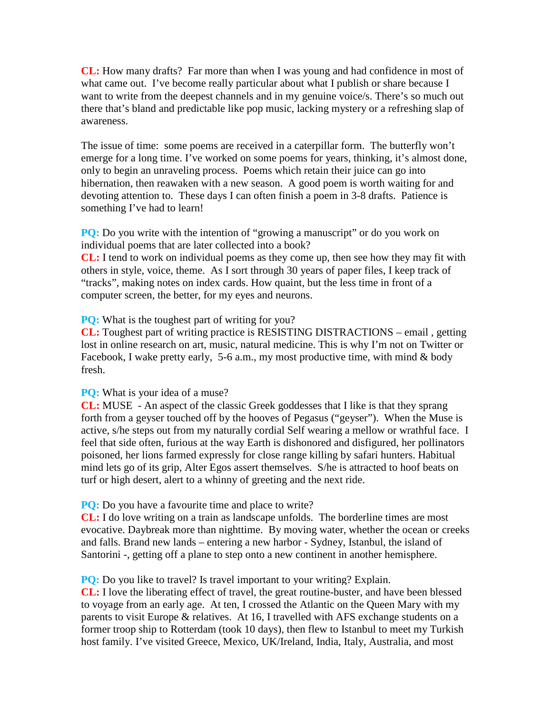**CL:** How many drafts? Far more than when I was young and had confidence in most of what came out. I've become really particular about what I publish or share because I want to write from the deepest channels and in my genuine voice/s. There's so much out there that's bland and predictable like pop music, lacking mystery or a refreshing slap of awareness.

The issue of time: some poems are received in a caterpillar form. The butterfly won't emerge for a long time. I've worked on some poems for years, thinking, it's almost done, only to begin an unraveling process. Poems which retain their juice can go into hibernation, then reawaken with a new season. A good poem is worth waiting for and devoting attention to. These days I can often finish a poem in 3-8 drafts. Patience is something I've had to learn!

**PQ:** Do you write with the intention of "growing a manuscript" or do you work on individual poems that are later collected into a book?

**CL:** I tend to work on individual poems as they come up, then see how they may fit with others in style, voice, theme. As I sort through 30 years of paper files, I keep track of "tracks", making notes on index cards. How quaint, but the less time in front of a computer screen, the better, for my eyes and neurons.

**PO:** What is the toughest part of writing for you?

**CL:** Toughest part of writing practice is RESISTING DISTRACTIONS – email , getting lost in online research on art, music, natural medicine. This is why I'm not on Twitter or Facebook, I wake pretty early, 5-6 a.m., my most productive time, with mind & body fresh.

**PO:** What is your idea of a muse?

**CL:** MUSE - An aspect of the classic Greek goddesses that I like is that they sprang forth from a geyser touched off by the hooves of Pegasus ("geyser"). When the Muse is active, s/he steps out from my naturally cordial Self wearing a mellow or wrathful face. I feel that side often, furious at the way Earth is dishonored and disfigured, her pollinators poisoned, her lions farmed expressly for close range killing by safari hunters. Habitual mind lets go of its grip, Alter Egos assert themselves. S/he is attracted to hoof beats on turf or high desert, alert to a whinny of greeting and the next ride.

**PQ:** Do you have a favourite time and place to write?

**CL:** I do love writing on a train as landscape unfolds. The borderline times are most evocative. Daybreak more than nighttime. By moving water, whether the ocean or creeks and falls. Brand new lands – entering a new harbor - Sydney, Istanbul, the island of Santorini -, getting off a plane to step onto a new continent in another hemisphere.

**PQ:** Do you like to travel? Is travel important to your writing? Explain.

**CL:** I love the liberating effect of travel, the great routine-buster, and have been blessed to voyage from an early age. At ten, I crossed the Atlantic on the Queen Mary with my parents to visit Europe & relatives. At 16, I travelled with AFS exchange students on a former troop ship to Rotterdam (took 10 days), then flew to Istanbul to meet my Turkish host family. I've visited Greece, Mexico, UK/Ireland, India, Italy, Australia, and most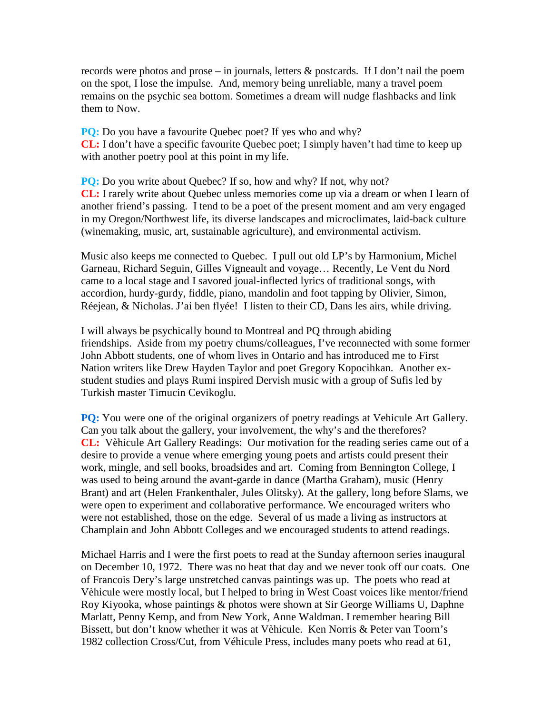records were photos and prose – in journals, letters & postcards. If I don't nail the poem on the spot, I lose the impulse. And, memory being unreliable, many a travel poem remains on the psychic sea bottom. Sometimes a dream will nudge flashbacks and link them to Now.

**PQ:** Do you have a favourite Quebec poet? If yes who and why? **CL:** I don't have a specific favourite Quebec poet; I simply haven't had time to keep up with another poetry pool at this point in my life.

**PQ:** Do you write about Quebec? If so, how and why? If not, why not? **CL:** I rarely write about Quebec unless memories come up via a dream or when I learn of another friend's passing. I tend to be a poet of the present moment and am very engaged in my Oregon/Northwest life, its diverse landscapes and microclimates, laid-back culture (winemaking, music, art, sustainable agriculture), and environmental activism.

Music also keeps me connected to Quebec. I pull out old LP's by Harmonium, Michel Garneau, Richard Seguin, Gilles Vigneault and voyage… Recently, Le Vent du Nord came to a local stage and I savored joual-inflected lyrics of traditional songs, with accordion, hurdy-gurdy, fiddle, piano, mandolin and foot tapping by Olivier, Simon, Réejean, & Nicholas. J'ai ben flyée! I listen to their CD, Dans les airs, while driving.

I will always be psychically bound to Montreal and PQ through abiding friendships. Aside from my poetry chums/colleagues, I've reconnected with some former John Abbott students, one of whom lives in Ontario and has introduced me to First Nation writers like Drew Hayden Taylor and poet Gregory Kopocihkan. Another exstudent studies and plays Rumi inspired Dervish music with a group of Sufis led by Turkish master Timucin Cevikoglu.

**PQ:** You were one of the original organizers of poetry readings at Vehicule Art Gallery. Can you talk about the gallery, your involvement, the why's and the therefores? **CL:** Vèhicule Art Gallery Readings: Our motivation for the reading series came out of a desire to provide a venue where emerging young poets and artists could present their work, mingle, and sell books, broadsides and art. Coming from Bennington College, I was used to being around the avant-garde in dance (Martha Graham), music (Henry Brant) and art (Helen Frankenthaler, Jules Olitsky). At the gallery, long before Slams, we were open to experiment and collaborative performance. We encouraged writers who were not established, those on the edge. Several of us made a living as instructors at Champlain and John Abbott Colleges and we encouraged students to attend readings.

Michael Harris and I were the first poets to read at the Sunday afternoon series inaugural on December 10, 1972. There was no heat that day and we never took off our coats. One of Francois Dery's large unstretched canvas paintings was up. The poets who read at Vèhicule were mostly local, but I helped to bring in West Coast voices like mentor/friend Roy Kiyooka, whose paintings & photos were shown at Sir George Williams U, Daphne Marlatt, Penny Kemp, and from New York, Anne Waldman. I remember hearing Bill Bissett, but don't know whether it was at Vèhicule. Ken Norris & Peter van Toorn's 1982 collection Cross/Cut, from Véhicule Press, includes many poets who read at 61,